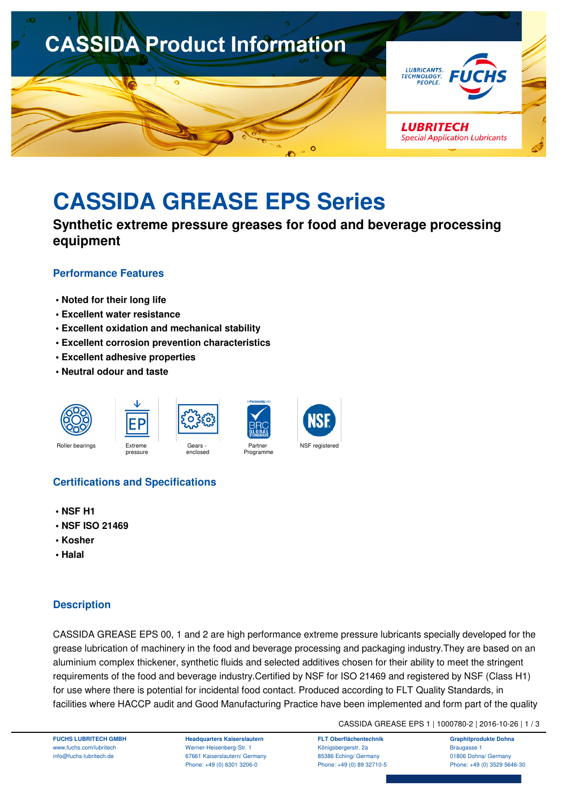

# **CASSIDA GREASE EPS Series**

**Synthetic extreme pressure greases for food and beverage processing equipment**

### **Performance Features**

- **Noted for their long life**
- **Excellent water resistance**
- **Excellent oxidation and mechanical stability**
- **Excellent corrosion prevention characteristics**
- **Excellent adhesive properties**
- **Neutral odour and taste**





# **Certifications and Specifications**

- **NSF H1**
- **NSF ISO 21469**
- **Kosher**
- **Halal**

# **Description**

CASSIDA GREASE EPS 00, 1 and 2 are high performance extreme pressure lubricants specially developed for the grease lubrication of machinery in the food and beverage processing and packaging industry.They are based on an aluminium complex thickener, synthetic fluids and selected additives chosen for their ability to meet the stringent requirements of the food and beverage industry.Certified by NSF for ISO 21469 and registered by NSF (Class H1) for use where there is potential for incidental food contact. Produced according to FLT Quality Standards, in facilities where HACCP audit and Good Manufacturing Practice have been implemented and form part of the quality

CASSIDA GREASE EPS 1 | 1000780-2 | 2016-10-26 | 1 / 3

**FUCHS LUBRITECH GMBH** www.fuchs.com/lubritech info@fuchs-lubritech.de

**Headquarters Kaiserslautern** Werner-Heisenberg-Str. 1 67661 Kaiserslautern/ Germany Phone: +49 (0) 6301 3206-0

**FLT Oberflächentechnik** Königsbergerstr. 2a 85386 Eching/ Germany Phone: +49 (0) 89 32710-5

**Graphitprodukte Dohna** Braugasse 1 01806 Dohna/ Germany Phone: +49 (0) 3529 5646-30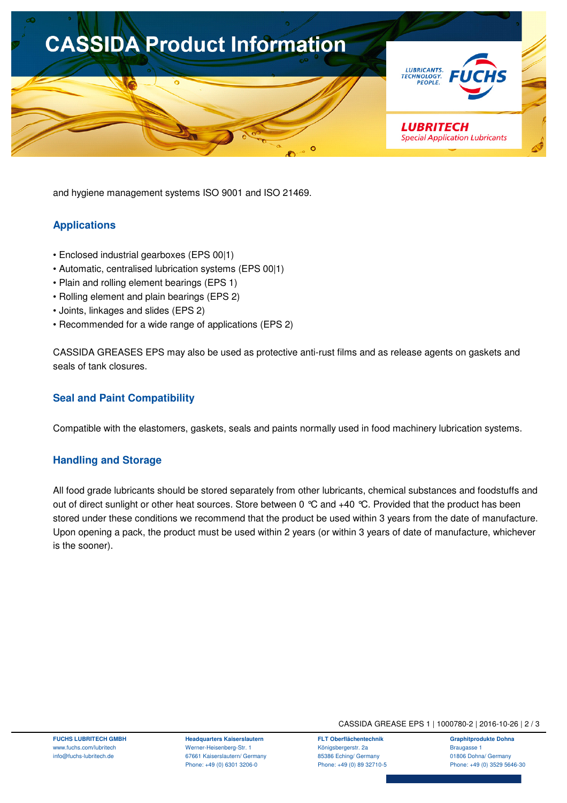

and hygiene management systems ISO 9001 and ISO 21469.

# **Applications**

- Enclosed industrial gearboxes (EPS 00|1)
- Automatic, centralised lubrication systems (EPS 00|1)
- Plain and rolling element bearings (EPS 1)
- Rolling element and plain bearings (EPS 2)
- Joints, linkages and slides (EPS 2)
- Recommended for a wide range of applications (EPS 2)

CASSIDA GREASES EPS may also be used as protective anti-rust films and as release agents on gaskets and seals of tank closures.

#### **Seal and Paint Compatibility**

Compatible with the elastomers, gaskets, seals and paints normally used in food machinery lubrication systems.

#### **Handling and Storage**

All food grade lubricants should be stored separately from other lubricants, chemical substances and foodstuffs and out of direct sunlight or other heat sources. Store between 0 °C and +40 °C. Provided that the product has been stored under these conditions we recommend that the product be used within 3 years from the date of manufacture. Upon opening a pack, the product must be used within 2 years (or within 3 years of date of manufacture, whichever is the sooner).

**FUCHS LUBRITECH GMBH** www.fuchs.com/lubritech info@fuchs-lubritech.de

**Headquarters Kaiserslautern** Werner-Heisenberg-Str. 1 67661 Kaiserslautern/ Germany Phone: +49 (0) 6301 3206-0

CASSIDA GREASE EPS 1 | 1000780-2 | 2016-10-26 | 2 / 3

**FLT Oberflächentechnik** Königsbergerstr. 2a 85386 Eching/ Germany Phone: +49 (0) 89 32710-5

**Graphitprodukte Dohna** Braugasse 1 01806 Dohna/ Germany Phone: +49 (0) 3529 5646-30